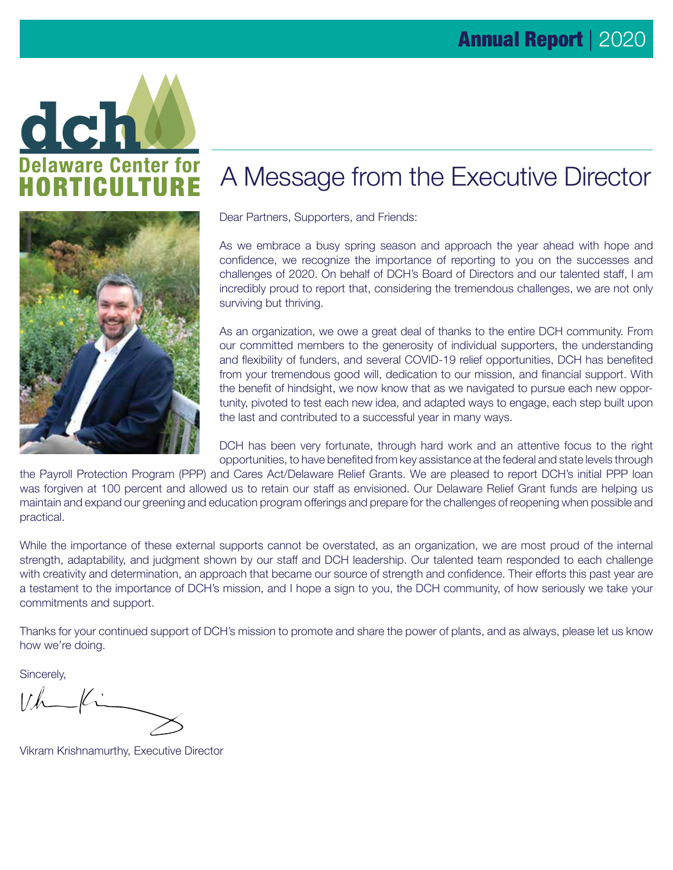



## A Message from the Executive Director

Dear Partners, Supporters, and Friends:

As we embrace a busy spring season and approach the year ahead with hope and confidence, we recognize the importance of reporting to you on the successes and challenges of 2020. On behalf of DCH's Board of Directors and our talented staff, I am incredibly proud to report that, considering the tremendous challenges, we are not only surviving but thriving.

As an organization, we owe a great deal of thanks to the entire DCH community. From our committed members to the generosity of individual supporters, the understanding and flexibility of funders, and several COVID-19 relief opportunities, DCH has benefited from your tremendous good will, dedication to our mission, and financial support. With the benefit of hindsight, we now know that as we navigated to pursue each new opportunity, pivoted to test each new idea, and adapted ways to engage, each step built upon the last and contributed to a successful year in many ways.

DCH has been very fortunate, through hard work and an attentive focus to the right opportunities, to have benefited from key assistance at the federal and state levels through

the Payroll Protection Program (PPP) and Cares Act/Delaware Relief Grants. We are pleased to report DCH's initial PPP loan was forgiven at 100 percent and allowed us to retain our staff as envisioned. Our Delaware Relief Grant funds are helping us maintain and expand our greening and education program offerings and prepare for the challenges of reopening when possible and practical.

While the importance of these external supports cannot be overstated, as an organization, we are most proud of the internal strength, adaptability, and judgment shown by our staff and DCH leadership. Our talented team responded to each challenge with creativity and determination, an approach that became our source of strength and confidence. Their efforts this past year are a testament to the importance of DCH's mission, and I hope a sign to you, the DCH community, of how seriously we take your commitments and support.

Thanks for your continued support of DCH's mission to promote and share the power of plants, and as always, please let us know how we're doing.

Sincerely,

 $Vh$ 

Vikram Krishnamurthy, Executive Director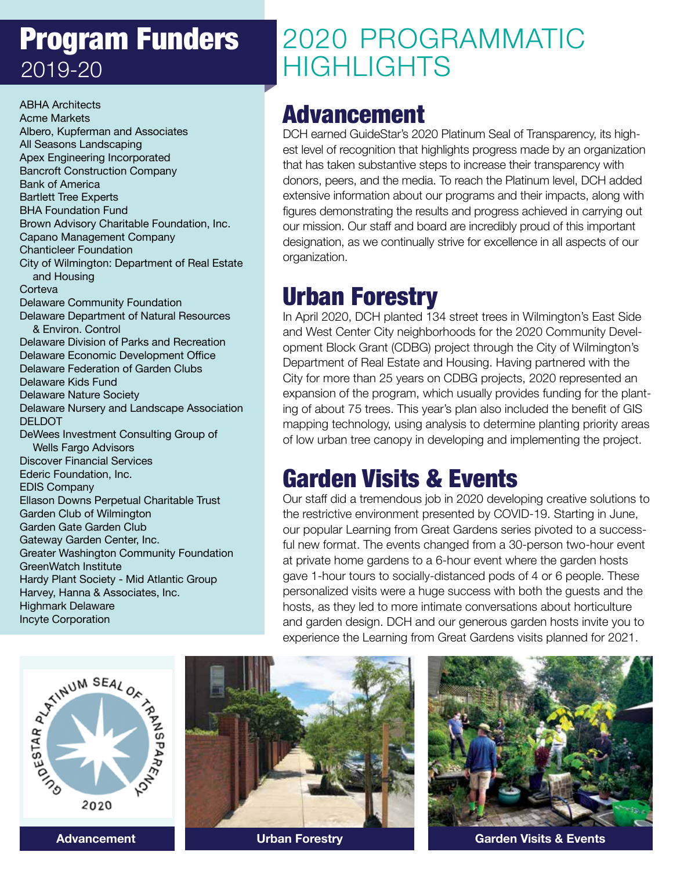# Program Funders 2019-20

ABHA Architects Acme Markets Albero, Kupferman and Associates All Seasons Landscaping Apex Engineering Incorporated Bancroft Construction Company Bank of America Bartlett Tree Experts BHA Foundation Fund Brown Advisory Charitable Foundation, Inc. Capano Management Company Chanticleer Foundation City of Wilmington: Department of Real Estate and Housing **Corteva** Delaware Community Foundation Delaware Department of Natural Resources & Environ. Control Delaware Division of Parks and Recreation Delaware Economic Development Office Delaware Federation of Garden Clubs Delaware Kids Fund Delaware Nature Society Delaware Nursery and Landscape Association DELDOT DeWees Investment Consulting Group of Wells Fargo Advisors Discover Financial Services Ederic Foundation, Inc. EDIS Company Ellason Downs Perpetual Charitable Trust Garden Club of Wilmington Garden Gate Garden Club Gateway Garden Center, Inc. Greater Washington Community Foundation GreenWatch Institute Hardy Plant Society - Mid Atlantic Group Harvey, Hanna & Associates, Inc. Highmark Delaware Incyte Corporation

# 2020 PROGRAMMATIC **HIGHLIGHTS**

### Advancement

DCH earned GuideStar's 2020 Platinum Seal of Transparency, its highest level of recognition that highlights progress made by an organization that has taken substantive steps to increase their transparency with donors, peers, and the media. To reach the Platinum level, DCH added extensive information about our programs and their impacts, along with figures demonstrating the results and progress achieved in carrying out our mission. Our staff and board are incredibly proud of this important designation, as we continually strive for excellence in all aspects of our organization.

## Urban Forestry

In April 2020, DCH planted 134 street trees in Wilmington's East Side and West Center City neighborhoods for the 2020 Community Development Block Grant (CDBG) project through the City of Wilmington's Department of Real Estate and Housing. Having partnered with the City for more than 25 years on CDBG projects, 2020 represented an expansion of the program, which usually provides funding for the planting of about 75 trees. This year's plan also included the benefit of GIS mapping technology, using analysis to determine planting priority areas of low urban tree canopy in developing and implementing the project.

## Garden Visits & Events

Our staff did a tremendous job in 2020 developing creative solutions to the restrictive environment presented by COVID-19. Starting in June, our popular Learning from Great Gardens series pivoted to a successful new format. The events changed from a 30-person two-hour event at private home gardens to a 6-hour event where the garden hosts gave 1-hour tours to socially-distanced pods of 4 or 6 people. These personalized visits were a huge success with both the guests and the hosts, as they led to more intimate conversations about horticulture and garden design. DCH and our generous garden hosts invite you to experience the Learning from Great Gardens visits planned for 2021.







**Advancement Urban Forestry Garden Visits & Events**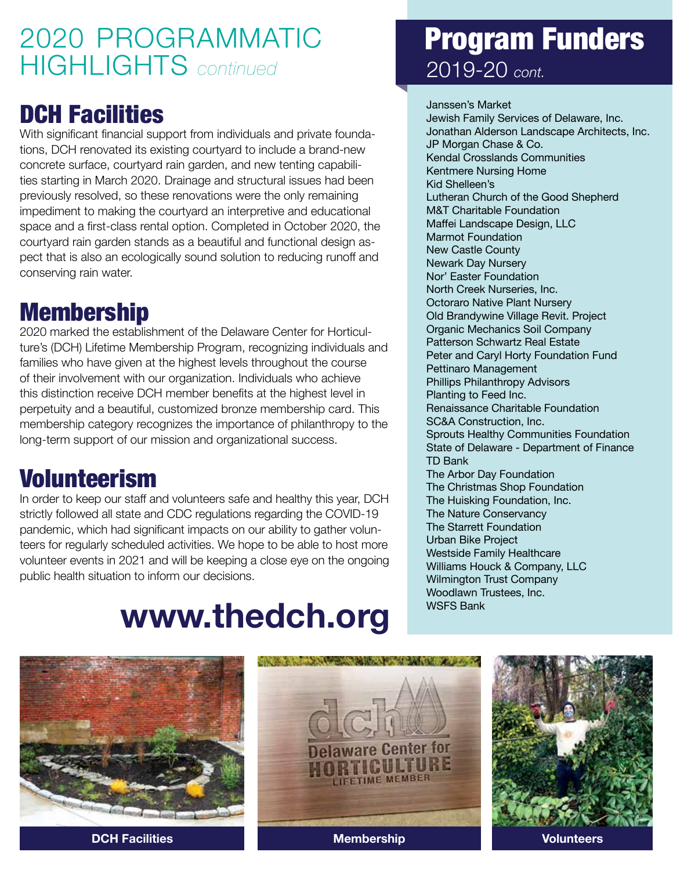# 2020 PROGRAMMATIC HIGHLIGHTS *continued*

### DCH Facilities

With significant financial support from individuals and private foundations, DCH renovated its existing courtyard to include a brand-new concrete surface, courtyard rain garden, and new tenting capabilities starting in March 2020. Drainage and structural issues had been previously resolved, so these renovations were the only remaining impediment to making the courtyard an interpretive and educational space and a first-class rental option. Completed in October 2020, the courtyard rain garden stands as a beautiful and functional design aspect that is also an ecologically sound solution to reducing runoff and conserving rain water.

### Membership

2020 marked the establishment of the Delaware Center for Horticulture's (DCH) Lifetime Membership Program, recognizing individuals and families who have given at the highest levels throughout the course of their involvement with our organization. Individuals who achieve this distinction receive DCH member benefits at the highest level in perpetuity and a beautiful, customized bronze membership card. This membership category recognizes the importance of philanthropy to the long-term support of our mission and organizational success.

### Volunteerism

In order to keep our staff and volunteers safe and healthy this year, DCH strictly followed all state and CDC regulations regarding the COVID-19 pandemic, which had significant impacts on our ability to gather volunteers for regularly scheduled activities. We hope to be able to host more volunteer events in 2021 and will be keeping a close eye on the ongoing public health situation to inform our decisions.

# **www.thedch.org**

## Program Funders 2019-20 *cont.*

Janssen's Market Jewish Family Services of Delaware, Inc. Jonathan Alderson Landscape Architects, Inc. JP Morgan Chase & Co. Kendal Crosslands Communities Kentmere Nursing Home Kid Shelleen's Lutheran Church of the Good Shepherd M&T Charitable Foundation Maffei Landscape Design, LLC Marmot Foundation New Castle County Newark Day Nursery Nor' Easter Foundation North Creek Nurseries, Inc. Octoraro Native Plant Nursery Old Brandywine Village Revit. Project Organic Mechanics Soil Company Patterson Schwartz Real Estate Peter and Caryl Horty Foundation Fund Pettinaro Management Phillips Philanthropy Advisors Planting to Feed Inc. Renaissance Charitable Foundation SC&A Construction, Inc. Sprouts Healthy Communities Foundation State of Delaware - Department of Finance TD Bank The Arbor Day Foundation The Christmas Shop Foundation The Huisking Foundation, Inc. The Nature Conservancy The Starrett Foundation Urban Bike Project Westside Family Healthcare Williams Houck & Company, LLC Wilmington Trust Company Woodlawn Trustees, Inc. WSFS Bank





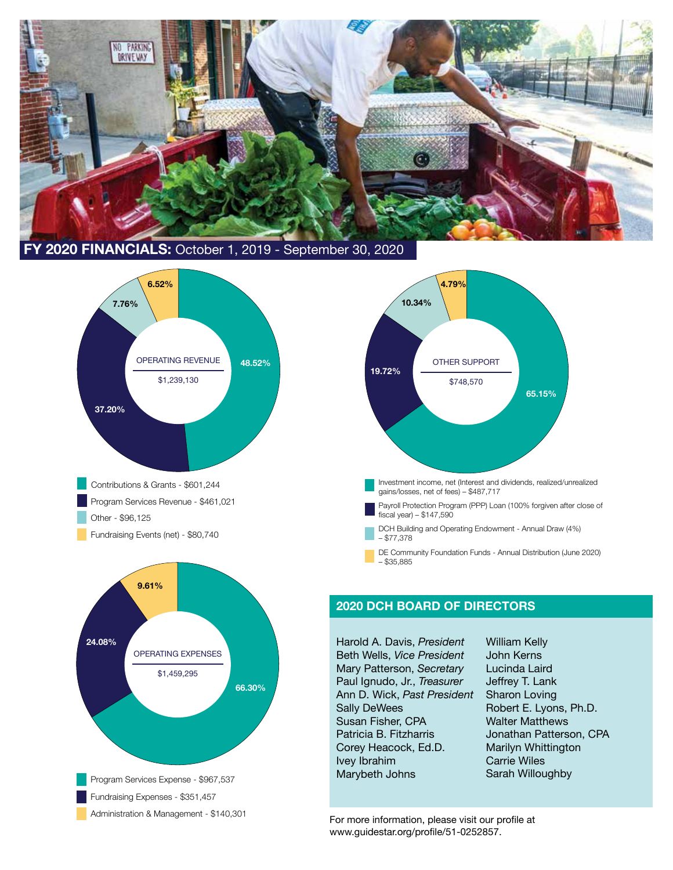

 **FY 2020 FINANCIALS:** October 1, 2019 - September 30, 2020







#### **2020 DCH BOARD OF DIRECTORS**

Harold A. Davis, *President* Beth Wells, *Vice President* Mary Patterson, *Secretary* Paul Ignudo, Jr., *Treasurer* Ann D. Wick, *Past President* Sally DeWees Susan Fisher, CPA Patricia B. Fitzharris Corey Heacock, Ed.D. Ivey Ibrahim Marybeth Johns

William Kelly John Kerns Lucinda Laird Jeffrey T. Lank Sharon Loving Robert E. Lyons, Ph.D. Walter Matthews Jonathan Patterson, CPA Marilyn Whittington Carrie Wiles Sarah Willoughby

www.guidestar.org/profile/51-0252857.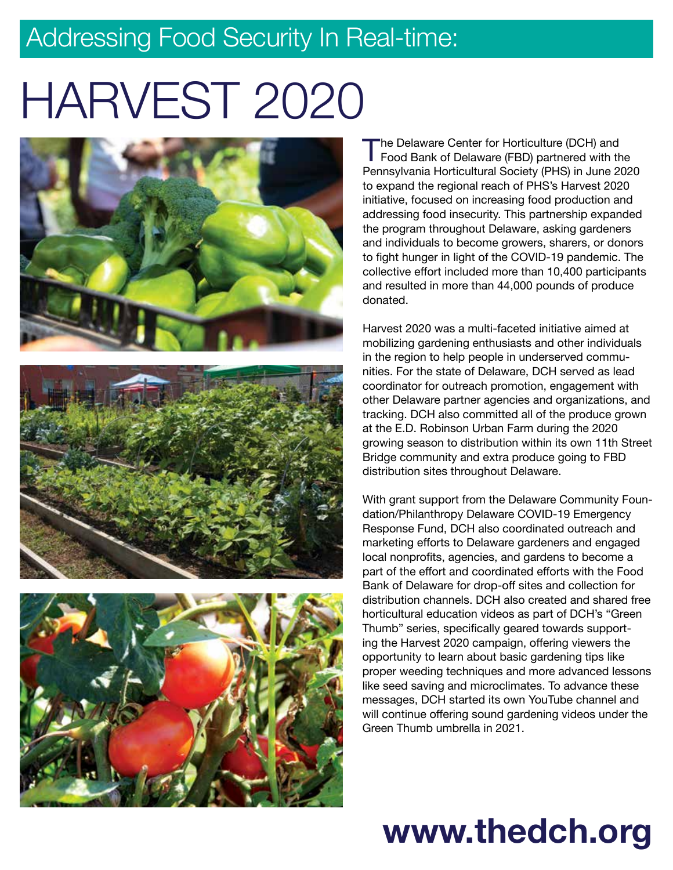# Addressing Food Security In Real-time:

# HARVEST 2020







The Delaware Center for Horticulture (DCH) and<br>Food Bank of Delaware (FBD) partnered with the<br>Pennaylyania Hortiquiturel Society (DHS) in June 200 Pennsylvania Horticultural Society (PHS) in June 2020 to expand the regional reach of PHS's Harvest 2020 initiative, focused on increasing food production and addressing food insecurity. This partnership expanded the program throughout Delaware, asking gardeners and individuals to become growers, sharers, or donors to fight hunger in light of the COVID-19 pandemic. The collective effort included more than 10,400 participants and resulted in more than 44,000 pounds of produce donated.

Harvest 2020 was a multi-faceted initiative aimed at mobilizing gardening enthusiasts and other individuals in the region to help people in underserved communities. For the state of Delaware, DCH served as lead coordinator for outreach promotion, engagement with other Delaware partner agencies and organizations, and tracking. DCH also committed all of the produce grown at the E.D. Robinson Urban Farm during the 2020 growing season to distribution within its own 11th Street Bridge community and extra produce going to FBD distribution sites throughout Delaware.

With grant support from the Delaware Community Foundation/Philanthropy Delaware COVID-19 Emergency Response Fund, DCH also coordinated outreach and marketing efforts to Delaware gardeners and engaged local nonprofits, agencies, and gardens to become a part of the effort and coordinated efforts with the Food Bank of Delaware for drop-off sites and collection for distribution channels. DCH also created and shared free horticultural education videos as part of DCH's "Green Thumb" series, specifically geared towards supporting the Harvest 2020 campaign, offering viewers the opportunity to learn about basic gardening tips like proper weeding techniques and more advanced lessons like seed saving and microclimates. To advance these messages, DCH started its own YouTube channel and will continue offering sound gardening videos under the Green Thumb umbrella in 2021.

# **www.thedch.org**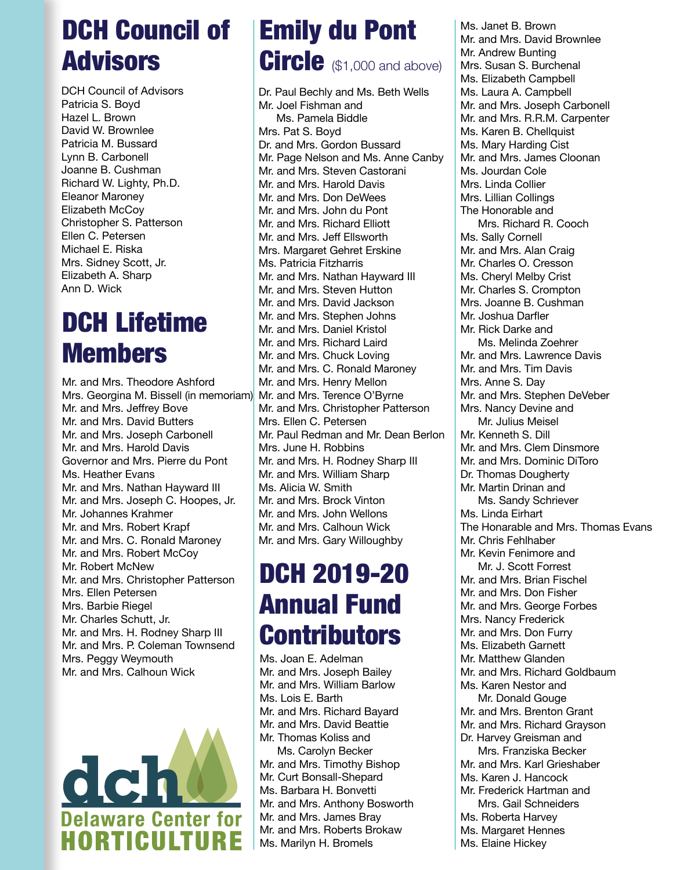# DCH Council of Advisors

DCH Council of Advisors Patricia S. Boyd Hazel L. Brown David W. Brownlee Patricia M. Bussard Lynn B. Carbonell Joanne B. Cushman Richard W. Lighty, Ph.D. Eleanor Maroney Elizabeth McCoy Christopher S. Patterson Ellen C. Petersen Michael E. Riska Mrs. Sidney Scott, Jr. Elizabeth A. Sharp Ann D. Wick

# DCH Lifetime Members

Mr. and Mrs. Theodore Ashford Mrs. Georgina M. Bissell (in memoriam) Mr. and Mrs. Jeffrey Bove Mr. and Mrs. David Butters Mr. and Mrs. Joseph Carbonell Mr. and Mrs. Harold Davis Governor and Mrs. Pierre du Pont Ms. Heather Evans Mr. and Mrs. Nathan Hayward III Mr. and Mrs. Joseph C. Hoopes, Jr. Mr. Johannes Krahmer Mr. and Mrs. Robert Krapf Mr. and Mrs. C. Ronald Maroney Mr. and Mrs. Robert McCoy Mr. Robert McNew Mr. and Mrs. Christopher Patterson Mrs. Ellen Petersen Mrs. Barbie Riegel Mr. Charles Schutt, Jr. Mr. and Mrs. H. Rodney Sharp III Mr. and Mrs. P. Coleman Townsend Mrs. Peggy Weymouth Mr. and Mrs. Calhoun Wick



# Emily du Pont Circle (\$1,000 and above)

Dr. Paul Bechly and Ms. Beth Wells Mr. Joel Fishman and Ms. Pamela Biddle Mrs. Pat S. Boyd Dr. and Mrs. Gordon Bussard Mr. Page Nelson and Ms. Anne Canby Mr. and Mrs. Steven Castorani Mr. and Mrs. Harold Davis Mr. and Mrs. Don DeWees Mr. and Mrs. John du Pont Mr. and Mrs. Richard Elliott Mr. and Mrs. Jeff Ellsworth Mrs. Margaret Gehret Erskine Ms. Patricia Fitzharris Mr. and Mrs. Nathan Hayward III Mr. and Mrs. Steven Hutton Mr. and Mrs. David Jackson Mr. and Mrs. Stephen Johns Mr. and Mrs. Daniel Kristol Mr. and Mrs. Richard Laird Mr. and Mrs. Chuck Loving Mr. and Mrs. C. Ronald Maroney Mr. and Mrs. Henry Mellon Mr. and Mrs. Terence O'Byrne Mr. and Mrs. Christopher Patterson Mrs. Ellen C. Petersen Mr. Paul Redman and Mr. Dean Berlon Mrs. June H. Robbins Mr. and Mrs. H. Rodney Sharp III Mr. and Mrs. William Sharp Ms. Alicia W. Smith Mr. and Mrs. Brock Vinton Mr. and Mrs. John Wellons Mr. and Mrs. Calhoun Wick Mr. and Mrs. Gary Willoughby

# DCH 2019-20 Annual Fund **Contributors**

Ms. Joan E. Adelman Mr. and Mrs. Joseph Bailey Mr. and Mrs. William Barlow Ms. Lois E. Barth Mr. and Mrs. Richard Bayard Mr. and Mrs. David Beattie Mr. Thomas Koliss and Ms. Carolyn Becker Mr. and Mrs. Timothy Bishop Mr. Curt Bonsall-Shepard Ms. Barbara H. Bonvetti Mr. and Mrs. Anthony Bosworth Mr. and Mrs. James Bray Mr. and Mrs. Roberts Brokaw Ms. Marilyn H. Bromels

Ms. Janet B. Brown Mr. and Mrs. David Brownlee Mr. Andrew Bunting Mrs. Susan S. Burchenal Ms. Elizabeth Campbell Ms. Laura A. Campbell Mr. and Mrs. Joseph Carbonell Mr. and Mrs. R.R.M. Carpenter Ms. Karen B. Chellquist Ms. Mary Harding Cist Mr. and Mrs. James Cloonan Ms. Jourdan Cole Mrs. Linda Collier Mrs. Lillian Collings The Honorable and Mrs. Richard R. Cooch Ms. Sally Cornell Mr. and Mrs. Alan Craig Mr. Charles O. Cresson Ms. Cheryl Melby Crist Mr. Charles S. Crompton Mrs. Joanne B. Cushman Mr. Joshua Darfler Mr. Rick Darke and Ms. Melinda Zoehrer Mr. and Mrs. Lawrence Davis Mr. and Mrs. Tim Davis Mrs. Anne S. Day Mr. and Mrs. Stephen DeVeber Mrs. Nancy Devine and Mr. Julius Meisel Mr. Kenneth S. Dill Mr. and Mrs. Clem Dinsmore Mr. and Mrs. Dominic DiToro Dr. Thomas Dougherty Mr. Martin Drinan and Ms. Sandy Schriever Ms. Linda Eirhart The Honarable and Mrs. Thomas Evans Mr. Chris Fehlhaber Mr. Kevin Fenimore and Mr. J. Scott Forrest Mr. and Mrs. Brian Fischel Mr. and Mrs. Don Fisher Mr. and Mrs. George Forbes Mrs. Nancy Frederick Mr. and Mrs. Don Furry Ms. Elizabeth Garnett Mr. Matthew Glanden Mr. and Mrs. Richard Goldbaum Ms. Karen Nestor and Mr. Donald Gouge Mr. and Mrs. Brenton Grant Mr. and Mrs. Richard Grayson Dr. Harvey Greisman and Mrs. Franziska Becker Mr. and Mrs. Karl Grieshaber Ms. Karen J. Hancock Mr. Frederick Hartman and Mrs. Gail Schneiders Ms. Roberta Harvey Ms. Margaret Hennes Ms. Elaine Hickey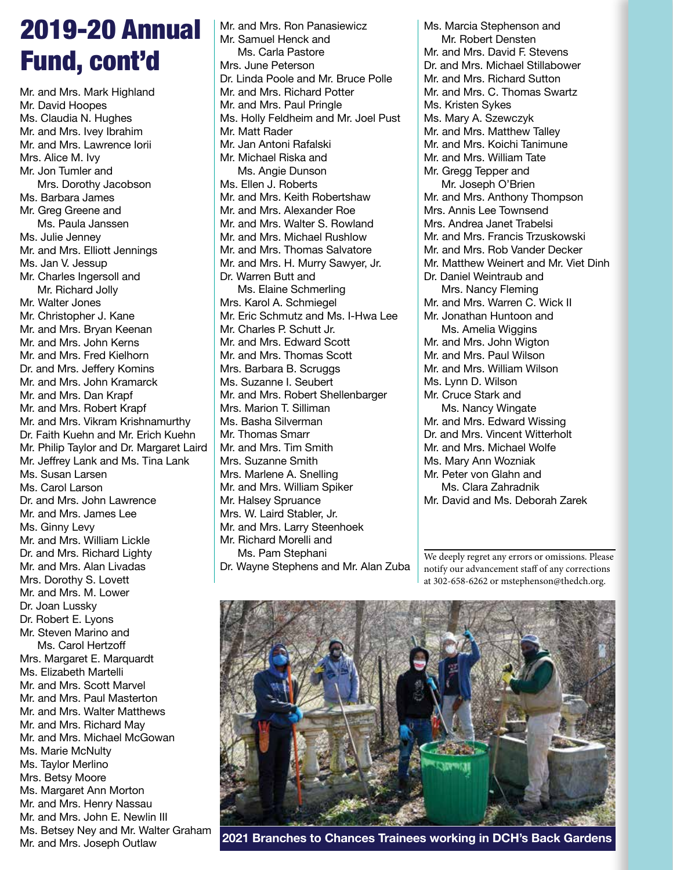# 2019-20 Annual Fund, cont'd

Mr. and Mrs. Mark Highland Mr. David Hoopes Ms. Claudia N. Hughes Mr. and Mrs. Ivey Ibrahim Mr. and Mrs. Lawrence Iorii Mrs. Alice M. Ivy Mr. Jon Tumler and Mrs. Dorothy Jacobson Ms. Barbara James Mr. Greg Greene and Ms. Paula Janssen Ms. Julie Jenney Mr. and Mrs. Elliott Jennings Ms. Jan V. Jessup Mr. Charles Ingersoll and Mr. Richard Jolly Mr. Walter Jones Mr. Christopher J. Kane Mr. and Mrs. Bryan Keenan Mr. and Mrs. John Kerns Mr. and Mrs. Fred Kielhorn Dr. and Mrs. Jeffery Komins Mr. and Mrs. John Kramarck Mr. and Mrs. Dan Krapf Mr. and Mrs. Robert Krapf Mr. and Mrs. Vikram Krishnamurthy Dr. Faith Kuehn and Mr. Erich Kuehn Mr. Philip Taylor and Dr. Margaret Laird Mr. Jeffrey Lank and Ms. Tina Lank Ms. Susan Larsen Ms. Carol Larson Dr. and Mrs. John Lawrence Mr. and Mrs. James Lee Ms. Ginny Levy Mr. and Mrs. William Lickle Dr. and Mrs. Richard Lighty Mr. and Mrs. Alan Livadas Mrs. Dorothy S. Lovett Mr. and Mrs. M. Lower Dr. Joan Lussky Dr. Robert E. Lyons Mr. Steven Marino and Ms. Carol Hertzoff Mrs. Margaret E. Marquardt Ms. Elizabeth Martelli Mr. and Mrs. Scott Marvel Mr. and Mrs. Paul Masterton Mr. and Mrs. Walter Matthews Mr. and Mrs. Richard May Mr. and Mrs. Michael McGowan Ms. Marie McNulty Ms. Taylor Merlino Mrs. Betsy Moore Ms. Margaret Ann Morton Mr. and Mrs. Henry Nassau Mr. and Mrs. John E. Newlin III Ms. Betsey Ney and Mr. Walter Graham

Mr. and Mrs. Joseph Outlaw

Mr. and Mrs. Ron Panasiewicz Mr. Samuel Henck and Ms. Carla Pastore Mrs. June Peterson Dr. Linda Poole and Mr. Bruce Polle Mr. and Mrs. Richard Potter Mr. and Mrs. Paul Pringle Ms. Holly Feldheim and Mr. Joel Pust Mr. Matt Rader Mr. Jan Antoni Rafalski Mr. Michael Riska and Ms. Angie Dunson Ms. Ellen J. Roberts Mr. and Mrs. Keith Robertshaw Mr. and Mrs. Alexander Roe Mr. and Mrs. Walter S. Rowland Mr. and Mrs. Michael Rushlow Mr. and Mrs. Thomas Salvatore Mr. and Mrs. H. Murry Sawyer, Jr. Dr. Warren Butt and Ms. Elaine Schmerling Mrs. Karol A. Schmiegel Mr. Eric Schmutz and Ms. I-Hwa Lee Mr. Charles P. Schutt Jr. Mr. and Mrs. Edward Scott Mr. and Mrs. Thomas Scott Mrs. Barbara B. Scruggs Ms. Suzanne I. Seubert Mr. and Mrs. Robert Shellenbarger Mrs. Marion T. Silliman Ms. Basha Silverman Mr. Thomas Smarr Mr. and Mrs. Tim Smith Mrs. Suzanne Smith Mrs. Marlene A. Snelling Mr. and Mrs. William Spiker Mr. Halsey Spruance Mrs. W. Laird Stabler, Jr. Mr. and Mrs. Larry Steenhoek Mr. Richard Morelli and Ms. Pam Stephani Dr. Wayne Stephens and Mr. Alan Zuba Ms. Marcia Stephenson and Mr. Robert Densten Mr. and Mrs. David F. Stevens Dr. and Mrs. Michael Stillabower Mr. and Mrs. Richard Sutton Mr. and Mrs. C. Thomas Swartz Ms. Kristen Sykes Ms. Mary A. Szewczyk Mr. and Mrs. Matthew Talley Mr. and Mrs. Koichi Tanimune Mr. and Mrs. William Tate Mr. Gregg Tepper and Mr. Joseph O'Brien Mr. and Mrs. Anthony Thompson Mrs. Annis Lee Townsend Mrs. Andrea Janet Trabelsi Mr. and Mrs. Francis Trzuskowski Mr. and Mrs. Rob Vander Decker Mr. Matthew Weinert and Mr. Viet Dinh Dr. Daniel Weintraub and Mrs. Nancy Fleming Mr. and Mrs. Warren C. Wick II Mr. Jonathan Huntoon and Ms. Amelia Wiggins Mr. and Mrs. John Wigton Mr. and Mrs. Paul Wilson Mr. and Mrs. William Wilson Ms. Lynn D. Wilson Mr. Cruce Stark and Ms. Nancy Wingate Mr. and Mrs. Edward Wissing Dr. and Mrs. Vincent Witterholt Mr. and Mrs. Michael Wolfe Ms. Mary Ann Wozniak Mr. Peter von Glahn and Ms. Clara Zahradnik Mr. David and Ms. Deborah Zarek

We deeply regret any errors or omissions. Please notify our advancement staff of any corrections at 302-658-6262 or mstephenson@thedch.org.



**2021 Branches to Chances Trainees working in DCH's Back Gardens**